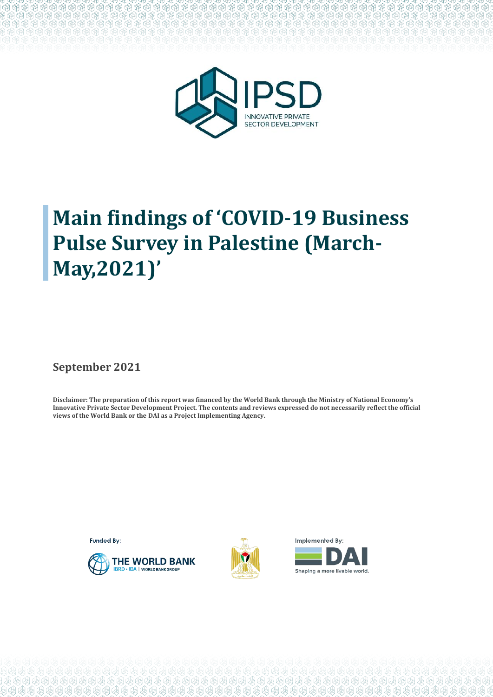

# **Main findings of 'COVID-19 Business Pulse Survey in Palestine (March-May,2021)'**

**September 2021** 

**Disclaimer: The preparation of this report was financed by the World Bank through the Ministry of National Economy's Innovative Private Sector Development Project. The contents and reviews expressed do not necessarily reflect the official views of the World Bank or the DAI as a Project Implementing Agency.** 

**Funded By:** 





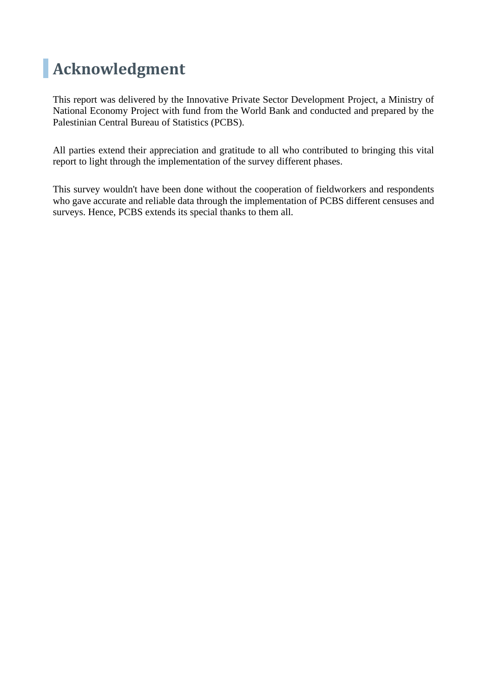## **Acknowledgment**

This report was delivered by the Innovative Private Sector Development Project, a Ministry of National Economy Project with fund from the World Bank and conducted and prepared by the Palestinian Central Bureau of Statistics (PCBS).

All parties extend their appreciation and gratitude to all who contributed to bringing this vital report to light through the implementation of the survey different phases.

This survey wouldn't have been done without the cooperation of fieldworkers and respondents who gave accurate and reliable data through the implementation of PCBS different censuses and surveys. Hence, PCBS extends its special thanks to them all.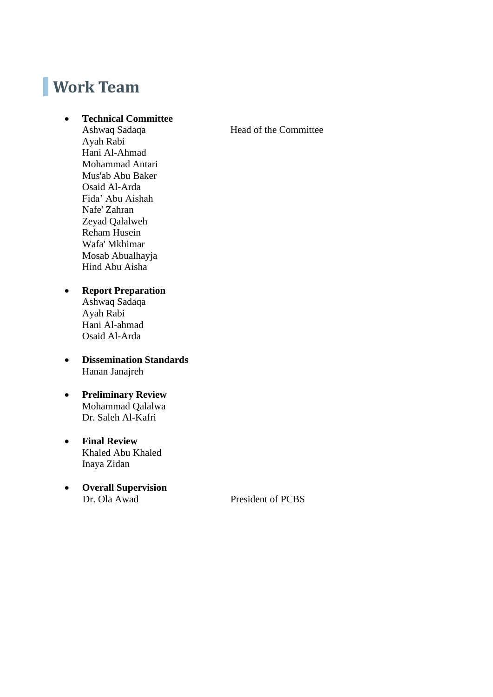## **Work Team**

#### • **Technical Committee**

Ashwaq Sadaqa **Head of the Committee** Ayah Rabi Hani Al-Ahmad Mohammad Antari Mus'ab Abu Baker Osaid Al-Arda Fida' Abu Aishah Nafe' Zahran Zeyad Qalalweh Reham Husein Wafa' Mkhimar Mosab Abualhayja Hind Abu Aisha

#### • **Report Preparation**

Ashwaq Sadaqa Ayah Rabi Hani Al-ahmad Osaid Al-Arda

• **Dissemination Standards** Hanan Janajreh

#### • **Preliminary Review** Mohammad Qalalwa Dr. Saleh Al-Kafri

- **Final Review**  Khaled Abu Khaled Inaya Zidan
- **Overall Supervision**

President of PCBS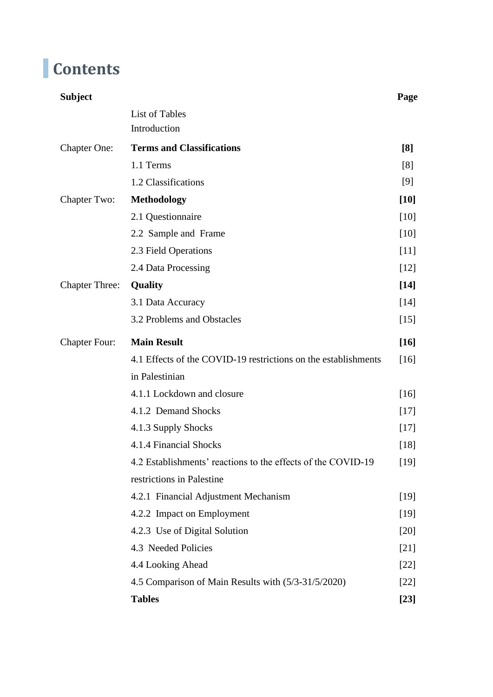# **Contents**

| <b>Subject</b>        |                                                                | Page   |  |  |  |  |  |
|-----------------------|----------------------------------------------------------------|--------|--|--|--|--|--|
|                       | <b>List of Tables</b>                                          |        |  |  |  |  |  |
|                       | Introduction                                                   |        |  |  |  |  |  |
| <b>Chapter One:</b>   | <b>Terms and Classifications</b>                               |        |  |  |  |  |  |
|                       | 1.1 Terms                                                      | [8]    |  |  |  |  |  |
|                       | 1.2 Classifications                                            | [9]    |  |  |  |  |  |
| Chapter Two:          | <b>Methodology</b>                                             | $[10]$ |  |  |  |  |  |
|                       | 2.1 Questionnaire                                              | $[10]$ |  |  |  |  |  |
|                       | 2.2 Sample and Frame                                           | $[10]$ |  |  |  |  |  |
|                       | 2.3 Field Operations                                           | $[11]$ |  |  |  |  |  |
|                       | 2.4 Data Processing                                            | $[12]$ |  |  |  |  |  |
| <b>Chapter Three:</b> | Quality                                                        | $[14]$ |  |  |  |  |  |
|                       | 3.1 Data Accuracy                                              | $[14]$ |  |  |  |  |  |
|                       | 3.2 Problems and Obstacles                                     | $[15]$ |  |  |  |  |  |
| <b>Chapter Four:</b>  | <b>Main Result</b>                                             | $[16]$ |  |  |  |  |  |
|                       | 4.1 Effects of the COVID-19 restrictions on the establishments | $[16]$ |  |  |  |  |  |
|                       | in Palestinian                                                 |        |  |  |  |  |  |
|                       | 4.1.1 Lockdown and closure                                     | $[16]$ |  |  |  |  |  |
|                       | 4.1.2 Demand Shocks                                            | $[17]$ |  |  |  |  |  |
|                       | 4.1.3 Supply Shocks                                            | $[17]$ |  |  |  |  |  |
|                       | 4.1.4 Financial Shocks                                         | $[18]$ |  |  |  |  |  |
|                       | 4.2 Establishments' reactions to the effects of the COVID-19   | $[19]$ |  |  |  |  |  |
|                       | restrictions in Palestine                                      |        |  |  |  |  |  |
|                       | 4.2.1 Financial Adjustment Mechanism                           | $[19]$ |  |  |  |  |  |
|                       | 4.2.2 Impact on Employment                                     | $[19]$ |  |  |  |  |  |
|                       | 4.2.3 Use of Digital Solution                                  | $[20]$ |  |  |  |  |  |
|                       | 4.3 Needed Policies                                            | $[21]$ |  |  |  |  |  |
|                       | 4.4 Looking Ahead                                              | $[22]$ |  |  |  |  |  |
|                       | 4.5 Comparison of Main Results with (5/3-31/5/2020)            | $[22]$ |  |  |  |  |  |
|                       | <b>Tables</b>                                                  | $[23]$ |  |  |  |  |  |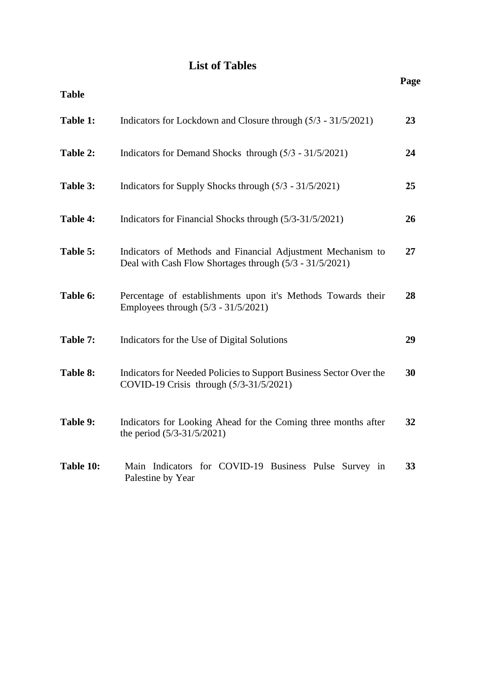## **List of Tables**

|              |                                                                                                                        | Page |
|--------------|------------------------------------------------------------------------------------------------------------------------|------|
| <b>Table</b> |                                                                                                                        |      |
| Table 1:     | Indicators for Lockdown and Closure through (5/3 - 31/5/2021)                                                          | 23   |
| Table 2:     | Indicators for Demand Shocks through (5/3 - 31/5/2021)                                                                 | 24   |
| Table 3:     | Indicators for Supply Shocks through (5/3 - 31/5/2021)                                                                 | 25   |
| Table 4:     | Indicators for Financial Shocks through (5/3-31/5/2021)                                                                | 26   |
| Table 5:     | Indicators of Methods and Financial Adjustment Mechanism to<br>Deal with Cash Flow Shortages through (5/3 - 31/5/2021) | 27   |
| Table 6:     | Percentage of establishments upon it's Methods Towards their<br>Employees through $(5/3 - 31/5/2021)$                  | 28   |
| Table 7:     | Indicators for the Use of Digital Solutions                                                                            | 29   |
| Table 8:     | Indicators for Needed Policies to Support Business Sector Over the<br>COVID-19 Crisis through (5/3-31/5/2021)          | 30   |
| Table 9:     | Indicators for Looking Ahead for the Coming three months after<br>the period $(5/3-31/5/2021)$                         | 32   |
| Table 10:    | Main Indicators for COVID-19 Business Pulse Survey in<br>Palestine by Year                                             | 33   |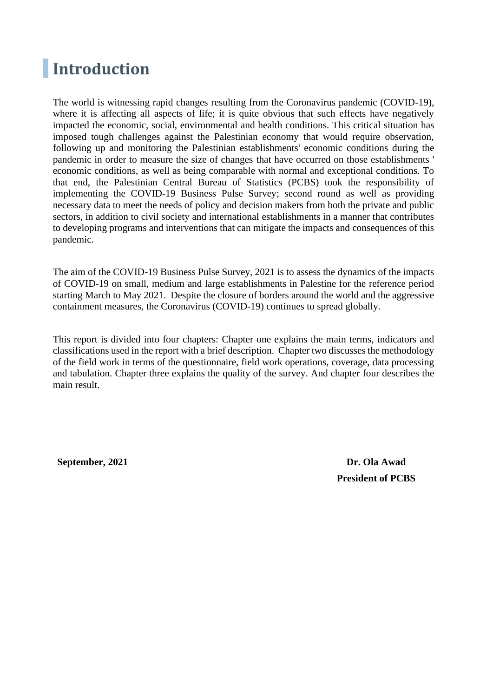## **Introduction**

The world is witnessing rapid changes resulting from the Coronavirus pandemic (COVID-19), where it is affecting all aspects of life; it is quite obvious that such effects have negatively impacted the economic, social, environmental and health conditions. This critical situation has imposed tough challenges against the Palestinian economy that would require observation, following up and monitoring the Palestinian establishments' economic conditions during the pandemic in order to measure the size of changes that have occurred on those establishments ' economic conditions, as well as being comparable with normal and exceptional conditions. To that end, the Palestinian Central Bureau of Statistics (PCBS) took the responsibility of implementing the COVID-19 Business Pulse Survey; second round as well as providing necessary data to meet the needs of policy and decision makers from both the private and public sectors, in addition to civil society and international establishments in a manner that contributes to developing programs and interventions that can mitigate the impacts and consequences of this pandemic.

The aim of the COVID-19 Business Pulse Survey, 2021 is to assess the dynamics of the impacts of COVID-19 on small, medium and large establishments in Palestine for the reference period starting March to May 2021. Despite the closure of borders around the world and the aggressive containment measures, the Coronavirus (COVID-19) continues to spread globally.

This report is divided into four chapters: Chapter one explains the main terms, indicators and classifications used in the report with a brief description. Chapter two discusses the methodology of the field work in terms of the questionnaire, field work operations, coverage, data processing and tabulation. Chapter three explains the quality of the survey. And chapter four describes the main result.

**September, 2021 Dr. Ola Awad**

**President of PCBS**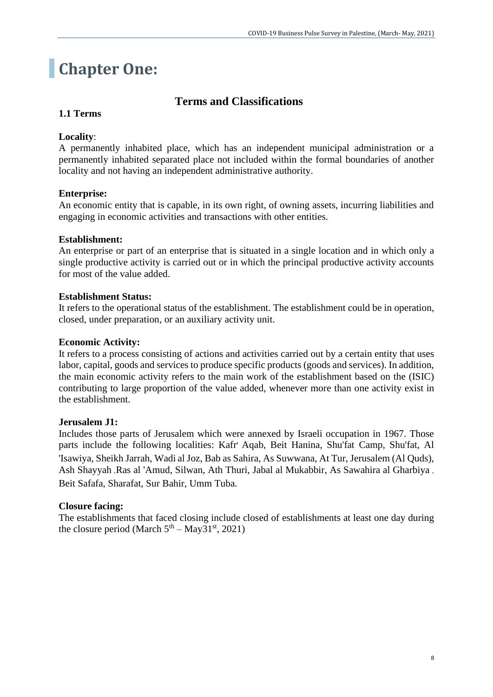## **Chapter One:**

## **Terms and Classifications**

#### **1.1 Terms**

#### **Locality**:

A permanently inhabited place, which has an independent municipal administration or a permanently inhabited separated place not included within the formal boundaries of another locality and not having an independent administrative authority.

#### **Enterprise:**

An economic entity that is capable, in its own right, of owning assets, incurring liabilities and engaging in economic activities and transactions with other entities.

#### **Establishment:**

An enterprise or part of an enterprise that is situated in a single location and in which only a single productive activity is carried out or in which the principal productive activity accounts for most of the value added.

#### **Establishment Status:**

It refers to the operational status of the establishment. The establishment could be in operation, closed, under preparation, or an auxiliary activity unit.

#### **Economic Activity:**

It refers to a process consisting of actions and activities carried out by a certain entity that uses labor, capital, goods and services to produce specific products (goods and services). In addition, the main economic activity refers to the main work of the establishment based on the (ISIC) contributing to large proportion of the value added, whenever more than one activity exist in the establishment.

#### **Jerusalem J1:**

Includes those parts of Jerusalem which were annexed by Israeli occupation in 1967. Those parts include the following localities: Kafr' Aqab, Beit Hanina, Shu'fat Camp, Shu'fat, Al 'Isawiya, Sheikh Jarrah, Wadi al Joz, Bab as Sahira, As Suwwana, At Tur, Jerusalem (Al Quds), Ash Shayyah ,Ras al 'Amud, Silwan, Ath Thuri, Jabal al Mukabbir, As Sawahira al Gharbiya , Beit Safafa, Sharafat, Sur Bahir, Umm Tuba.

#### **Closure facing:**

The establishments that faced closing include closed of establishments at least one day during the closure period (March  $5<sup>th</sup> - May31<sup>st</sup>$ , 2021)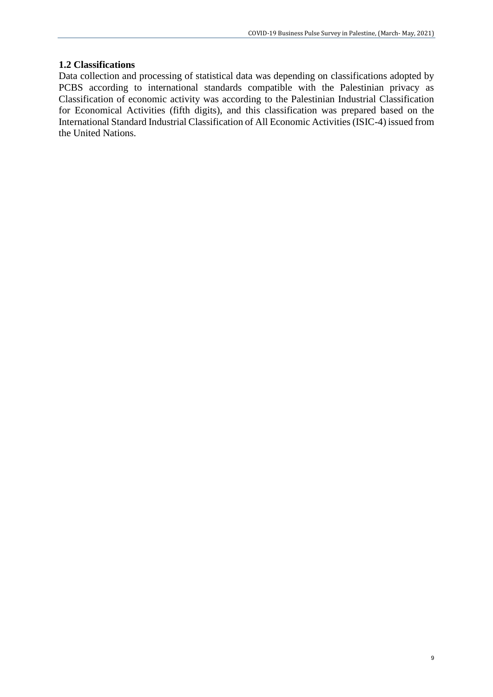#### **1.2 Classifications**

Data collection and processing of statistical data was depending on classifications adopted by PCBS according to international standards compatible with the Palestinian privacy as Classification of economic activity was according to the Palestinian Industrial Classification for Economical Activities (fifth digits), and this classification was prepared based on the International Standard Industrial Classification of All Economic Activities (ISIC-4) issued from the United Nations.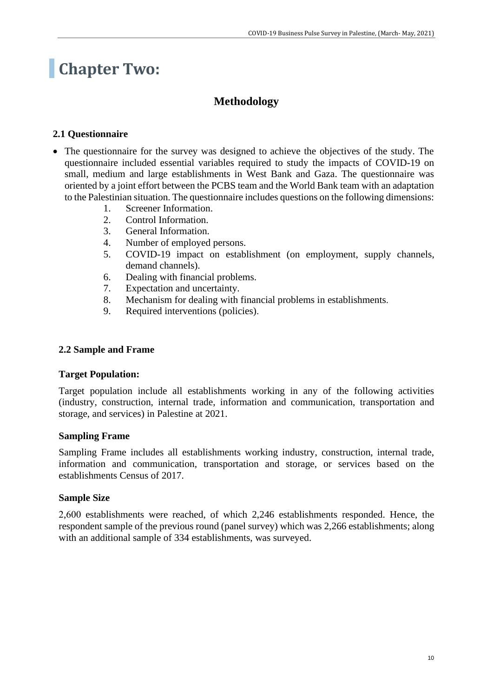## **Chapter Two:**

## **Methodology**

### **2.1 Questionnaire**

- The questionnaire for the survey was designed to achieve the objectives of the study. The questionnaire included essential variables required to study the impacts of COVID-19 on small, medium and large establishments in West Bank and Gaza. The questionnaire was oriented by a joint effort between the PCBS team and the World Bank team with an adaptation to the Palestinian situation. The questionnaire includes questions on the following dimensions:
	- 1. Screener Information.
	- 2. Control Information.
	- 3. General Information.
	- 4. Number of employed persons.
	- 5. COVID-19 impact on establishment (on employment, supply channels, demand channels).
	- 6. Dealing with financial problems.
	- 7. Expectation and uncertainty.
	- 8. Mechanism for dealing with financial problems in establishments.
	- 9. Required interventions (policies).

#### **2.2 Sample and Frame**

#### **Target Population:**

Target population include all establishments working in any of the following activities (industry, construction, internal trade, information and communication, transportation and storage, and services) in Palestine at 2021.

#### **Sampling Frame**

Sampling Frame includes all establishments working industry, construction, internal trade, information and communication, transportation and storage, or services based on the establishments Census of 2017.

#### **Sample Size**

2,600 establishments were reached, of which 2,246 establishments responded. Hence, the respondent sample of the previous round (panel survey) which was 2,266 establishments; along with an additional sample of 334 establishments, was surveyed.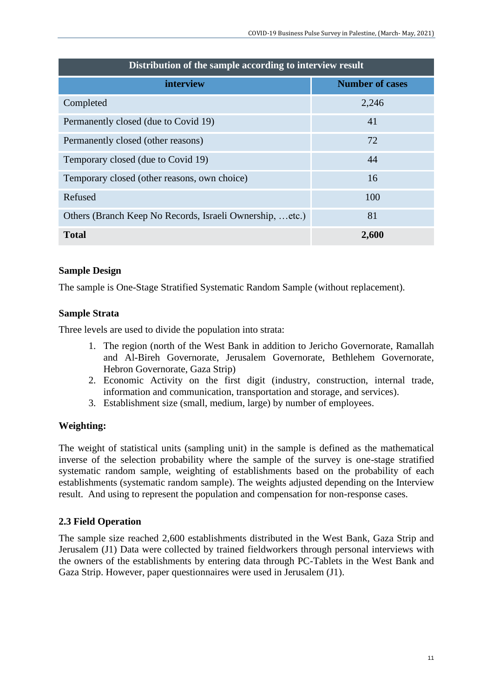| Distribution of the sample according to interview result |                        |  |  |  |  |  |  |  |  |
|----------------------------------------------------------|------------------------|--|--|--|--|--|--|--|--|
| interview                                                | <b>Number of cases</b> |  |  |  |  |  |  |  |  |
| Completed                                                | 2,246                  |  |  |  |  |  |  |  |  |
| Permanently closed (due to Covid 19)                     | 41                     |  |  |  |  |  |  |  |  |
| Permanently closed (other reasons)                       | 72                     |  |  |  |  |  |  |  |  |
| Temporary closed (due to Covid 19)                       | 44                     |  |  |  |  |  |  |  |  |
| Temporary closed (other reasons, own choice)             | 16                     |  |  |  |  |  |  |  |  |
| Refused                                                  | 100                    |  |  |  |  |  |  |  |  |
| Others (Branch Keep No Records, Israeli Ownership, etc.) | 81                     |  |  |  |  |  |  |  |  |
| <b>Total</b>                                             | 2,600                  |  |  |  |  |  |  |  |  |

#### **Sample Design**

The sample is One-Stage Stratified Systematic Random Sample (without replacement).

#### **Sample Strata**

Three levels are used to divide the population into strata:

- 1. The region (north of the West Bank in addition to Jericho Governorate, Ramallah and Al-Bireh Governorate, Jerusalem Governorate, Bethlehem Governorate, Hebron Governorate, Gaza Strip)
- 2. Economic Activity on the first digit (industry, construction, internal trade, information and communication, transportation and storage, and services).
- 3. Establishment size (small, medium, large) by number of employees.

#### **Weighting:**

The weight of statistical units (sampling unit) in the sample is defined as the mathematical inverse of the selection probability where the sample of the survey is one-stage stratified systematic random sample, weighting of establishments based on the probability of each establishments (systematic random sample). The weights adjusted depending on the Interview result. And using to represent the population and compensation for non-response cases.

#### **2.3 Field Operation**

The sample size reached 2,600 establishments distributed in the West Bank, Gaza Strip and Jerusalem (J1) Data were collected by trained fieldworkers through personal interviews with the owners of the establishments by entering data through PC-Tablets in the West Bank and Gaza Strip. However, paper questionnaires were used in Jerusalem (J1).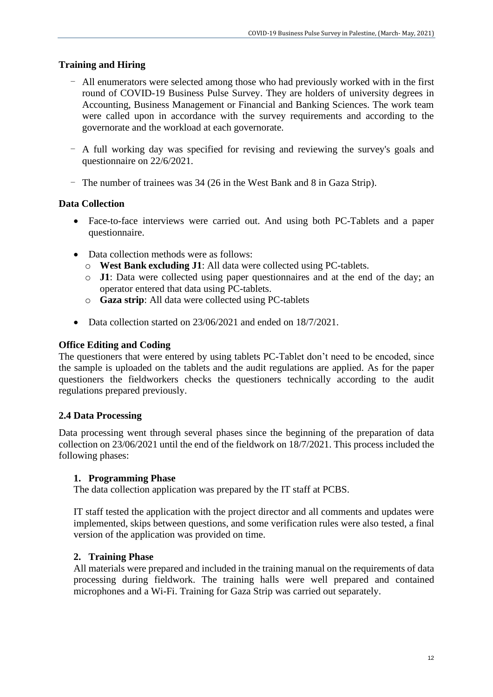#### **Training and Hiring**

- All enumerators were selected among those who had previously worked with in the first round of COVID-19 Business Pulse Survey. They are holders of university degrees in Accounting, Business Management or Financial and Banking Sciences. The work team were called upon in accordance with the survey requirements and according to the governorate and the workload at each governorate.
- A full working day was specified for revising and reviewing the survey's goals and questionnaire on 22/6/2021.
- The number of trainees was 34 (26 in the West Bank and 8 in Gaza Strip).

#### **Data Collection**

- Face-to-face interviews were carried out. And using both PC-Tablets and a paper questionnaire.
- Data collection methods were as follows:
	- o **West Bank excluding J1**: All data were collected using PC-tablets.
	- o **J1**: Data were collected using paper questionnaires and at the end of the day; an operator entered that data using PC-tablets.
	- o **Gaza strip**: All data were collected using PC-tablets
- Data collection started on 23/06/2021 and ended on 18/7/2021.

#### **Office Editing and Coding**

The questioners that were entered by using tablets PC-Tablet don't need to be encoded, since the sample is uploaded on the tablets and the audit regulations are applied. As for the paper questioners the fieldworkers checks the questioners technically according to the audit regulations prepared previously.

#### **2.4 Data Processing**

Data processing went through several phases since the beginning of the preparation of data collection on 23/06/2021 until the end of the fieldwork on 18/7/2021. This process included the following phases:

#### **1. Programming Phase**

The data collection application was prepared by the IT staff at PCBS.

IT staff tested the application with the project director and all comments and updates were implemented, skips between questions, and some verification rules were also tested, a final version of the application was provided on time.

#### **2. Training Phase**

All materials were prepared and included in the training manual on the requirements of data processing during fieldwork. The training halls were well prepared and contained microphones and a Wi-Fi. Training for Gaza Strip was carried out separately.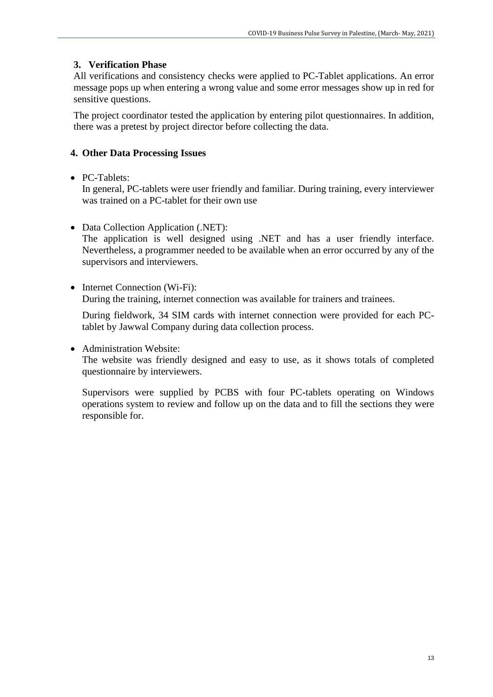#### **3. Verification Phase**

All verifications and consistency checks were applied to PC-Tablet applications. An error message pops up when entering a wrong value and some error messages show up in red for sensitive questions.

The project coordinator tested the application by entering pilot questionnaires. In addition, there was a pretest by project director before collecting the data.

#### **4. Other Data Processing Issues**

#### • PC-Tablets:

In general, PC-tablets were user friendly and familiar. During training, every interviewer was trained on a PC-tablet for their own use

• Data Collection Application (.NET):

The application is well designed using .NET and has a user friendly interface. Nevertheless, a programmer needed to be available when an error occurred by any of the supervisors and interviewers.

• Internet Connection (Wi-Fi): During the training, internet connection was available for trainers and trainees.

During fieldwork, 34 SIM cards with internet connection were provided for each PCtablet by Jawwal Company during data collection process.

• Administration Website:

The website was friendly designed and easy to use, as it shows totals of completed questionnaire by interviewers.

Supervisors were supplied by PCBS with four PC-tablets operating on Windows operations system to review and follow up on the data and to fill the sections they were responsible for.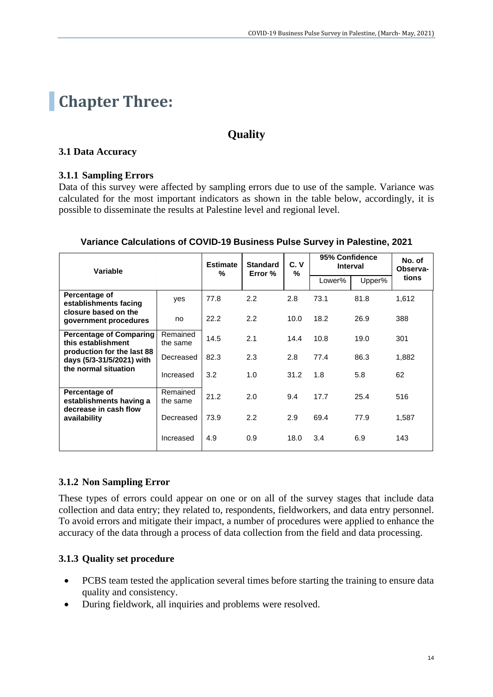## **Chapter Three:**

## **Quality**

#### **3.1 Data Accuracy**

#### **3.1.1 Sampling Errors**

Data of this survey were affected by sampling errors due to use of the sample. Variance was calculated for the most important indicators as shown in the table below, accordingly, it is possible to disseminate the results at Palestine level and regional level.

| Variable                                                          |                      | <b>Estimate</b><br>% | <b>Standard</b><br>Error % | C.V<br>% | 95% Confidence<br><b>Interval</b> | No. of<br>Observa- |       |
|-------------------------------------------------------------------|----------------------|----------------------|----------------------------|----------|-----------------------------------|--------------------|-------|
|                                                                   |                      |                      |                            |          | Lower%                            | Upper%             | tions |
| Percentage of<br>establishments facing                            | yes                  | 77.8                 | 2.2                        | 2.8      | 73.1                              | 81.8               | 1,612 |
| closure based on the<br>government procedures                     | no                   | 22.2                 | 2.2                        | 10.0     | 18.2                              | 26.9               | 388   |
| <b>Percentage of Comparing</b><br>this establishment              | Remained<br>the same | 14.5                 | 2.1                        | 14.4     | 10.8                              | 19.0               | 301   |
| production for the last 88<br>days (5/3-31/5/2021) with           | Decreased            | 82.3                 | 2.3                        | 2.8      | 77.4                              | 86.3               | 1,882 |
| the normal situation                                              | Increased            | 3.2                  | 1.0                        | 31.2     | 1.8                               | 5.8                | 62    |
| Percentage of<br>establishments having a<br>decrease in cash flow | Remained<br>the same | 21.2                 | 2.0                        | 9.4      | 17.7                              | 25.4               | 516   |
| availability                                                      | Decreased            | 73.9                 | 2.2                        | 2.9      | 69.4                              | 77.9               | 1,587 |
|                                                                   | Increased            | 4.9                  | 0.9                        | 18.0     | 3.4                               | 6.9                | 143   |

#### **Variance Calculations of COVID-19 Business Pulse Survey in Palestine, 2021**

### **3.1.2 Non Sampling Error**

These types of errors could appear on one or on all of the survey stages that include data collection and data entry; they related to, respondents, fieldworkers, and data entry personnel. To avoid errors and mitigate their impact, a number of procedures were applied to enhance the accuracy of the data through a process of data collection from the field and data processing.

### **3.1.3 Quality set procedure**

- PCBS team tested the application several times before starting the training to ensure data quality and consistency.
- During fieldwork, all inquiries and problems were resolved.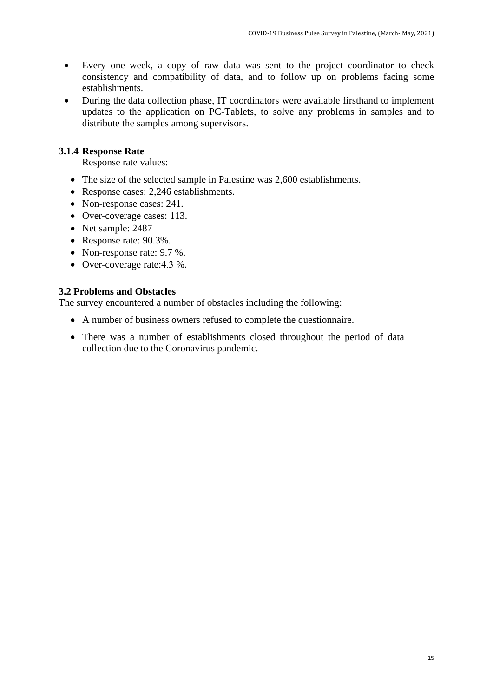- Every one week, a copy of raw data was sent to the project coordinator to check consistency and compatibility of data, and to follow up on problems facing some establishments.
- During the data collection phase, IT coordinators were available firsthand to implement updates to the application on PC-Tablets, to solve any problems in samples and to distribute the samples among supervisors.

#### **3.1.4 Response Rate**

Response rate values:

- The size of the selected sample in Palestine was 2,600 establishments.
- Response cases: 2,246 establishments.
- Non-response cases: 241.
- Over-coverage cases: 113.
- Net sample: 2487
- Response rate: 90.3%.
- Non-response rate: 9.7 %.
- Over-coverage rate: 4.3 %.

#### **3.2 Problems and Obstacles**

The survey encountered a number of obstacles including the following:

- A number of business owners refused to complete the questionnaire.
- There was a number of establishments closed throughout the period of data collection due to the Coronavirus pandemic.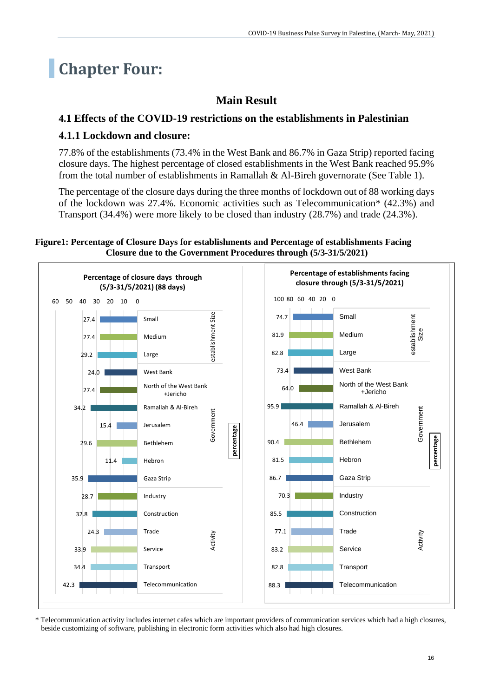## **Chapter Four:**

## **Main Result**

### **4.1 Effects of the COVID-19 restrictions on the establishments in Palestinian**

### **4.1.1 Lockdown and closure:**

77.8% of the establishments (73.4% in the West Bank and 86.7% in Gaza Strip) reported facing closure days. The highest percentage of closed establishments in the West Bank reached 95.9% from the total number of establishments in Ramallah & Al-Bireh governorate (See Table 1).

The percentage of the closure days during the three months of lockdown out of 88 working days of the lockdown was 27.4%. Economic activities such as Telecommunication\* (42.3%) and Transport (34.4%) were more likely to be closed than industry (28.7%) and trade (24.3%).



**Figure1: Percentage of Closure Days for establishments and Percentage of establishments Facing Closure due to the Government Procedures through (5/3-31/5/2021)**

\* Telecommunication activity includes internet cafes which are important providers of communication services which had a high closures, beside customizing of software, publishing in electronic form activities which also had high closures.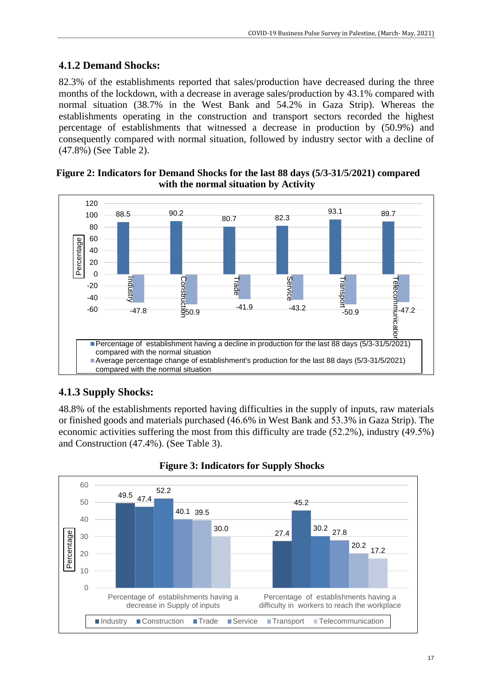## **4.1.2 Demand Shocks:**

82.3% of the establishments reported that sales/production have decreased during the three months of the lockdown, with a decrease in average sales/production by 43.1% compared with normal situation (38.7% in the West Bank and 54.2% in Gaza Strip). Whereas the establishments operating in the construction and transport sectors recorded the highest percentage of establishments that witnessed a decrease in production by (50.9%) and consequently compared with normal situation, followed by industry sector with a decline of (47.8%) (See Table 2).



#### **Figure 2: Indicators for Demand Shocks for the last 88 days (5/3-31/5/2021) compared with the normal situation by Activity**

## **4.1.3 Supply Shocks:**

48.8% of the establishments reported having difficulties in the supply of inputs, raw materials or finished goods and materials purchased (46.6% in West Bank and 53.3% in Gaza Strip). The economic activities suffering the most from this difficulty are trade (52.2%), industry (49.5%) and Construction (47.4%). (See Table 3).



### **Figure 3: Indicators for Supply Shocks**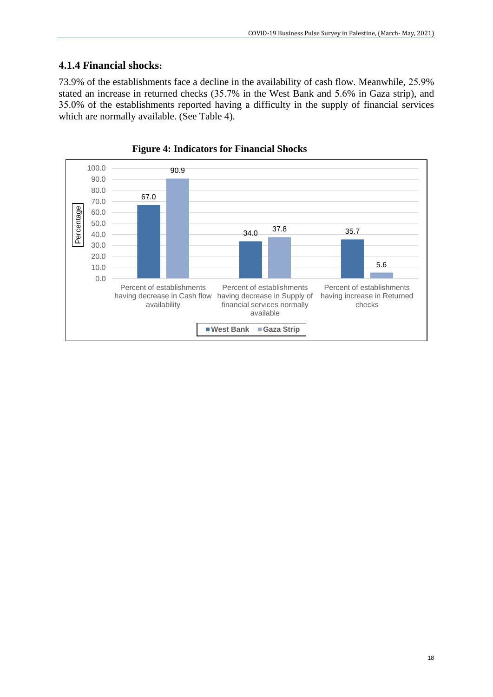### **4.1.4 Financial shocks:**

73.9% of the establishments face a decline in the availability of cash flow. Meanwhile, 25.9% stated an increase in returned checks (35.7% in the West Bank and 5.6% in Gaza strip), and 35.0% of the establishments reported having a difficulty in the supply of financial services which are normally available. (See Table 4).



 **Figure 4: Indicators for Financial Shocks**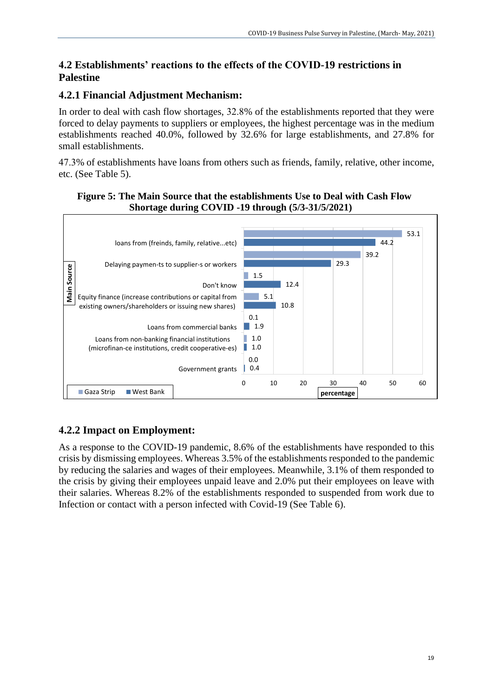### **4.2 Establishments' reactions to the effects of the COVID-19 restrictions in Palestine**

## **4.2.1 Financial Adjustment Mechanism:**

In order to deal with cash flow shortages, 32.8% of the establishments reported that they were forced to delay payments to suppliers or employees, the highest percentage was in the medium establishments reached 40.0%, followed by 32.6% for large establishments, and 27.8% for small establishments.

47.3% of establishments have loans from others such as friends, family, relative, other income, etc. (See Table 5).

#### **Figure 5: The Main Source that the establishments Use to Deal with Cash Flow Shortage during COVID -19 through (5/3-31/5/2021)**



## **4.2.2 Impact on Employment:**

As a response to the COVID-19 pandemic, 8.6% of the establishments have responded to this crisis by dismissing employees. Whereas 3.5% of the establishments responded to the pandemic by reducing the salaries and wages of their employees. Meanwhile, 3.1% of them responded to the crisis by giving their employees unpaid leave and 2.0% put their employees on leave with their salaries. Whereas 8.2% of the establishments responded to suspended from work due to Infection or contact with a person infected with Covid-19 (See Table 6).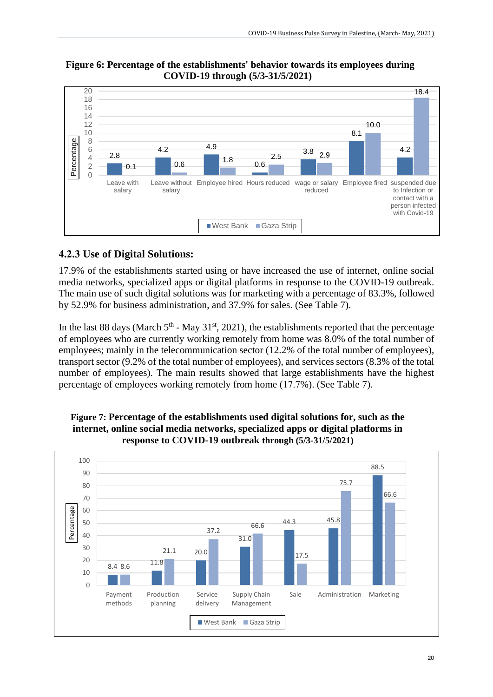#### **Figure 6: Percentage of the establishments' behavior towards its employees during COVID-19 through (5/3-31/5/2021)**



## **4.2.3 Use of Digital Solutions:**

17.9% of the establishments started using or have increased the use of internet, online social media networks, specialized apps or digital platforms in response to the COVID-19 outbreak. The main use of such digital solutions was for marketing with a percentage of 83.3%, followed by 52.9% for business administration, and 37.9% for sales. (See Table 7).

In the last 88 days (March  $5<sup>th</sup>$  - May 31<sup>st</sup>, 2021), the establishments reported that the percentage of employees who are currently working remotely from home was 8.0% of the total number of employees; mainly in the telecommunication sector (12.2% of the total number of employees), transport sector (9.2% of the total number of employees), and services sectors (8.3% of the total number of employees). The main results showed that large establishments have the highest percentage of employees working remotely from home (17.7%). (See Table 7).



**Figure 7: Percentage of the establishments used digital solutions for, such as the internet, online social media networks, specialized apps or digital platforms in response to COVID-19 outbreak through (5/3-31/5/2021)**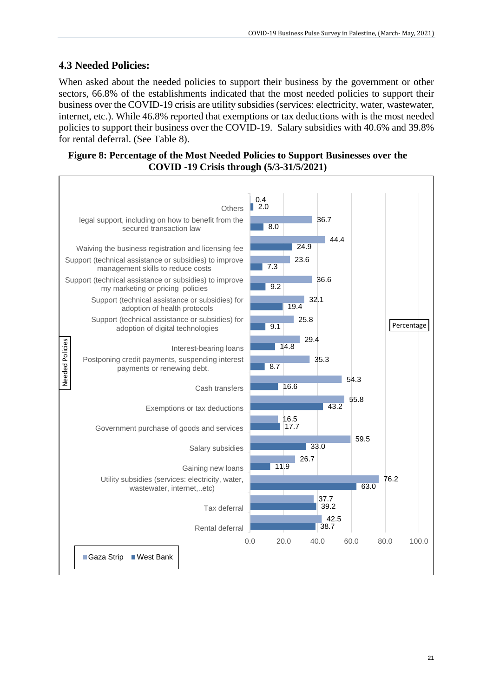### **4.3 Needed Policies:**

When asked about the needed policies to support their business by the government or other sectors, 66.8% of the establishments indicated that the most needed policies to support their business over the COVID-19 crisis are utility subsidies (services: electricity, water, wastewater, internet, etc.). While 46.8% reported that exemptions or tax deductions with is the most needed policies to support their business over the COVID-19. Salary subsidies with 40.6% and 39.8% for rental deferral. (See Table 8).

**Figure 8: Percentage of the Most Needed Policies to Support Businesses over the COVID -19 Crisis through (5/3-31/5/2021)**

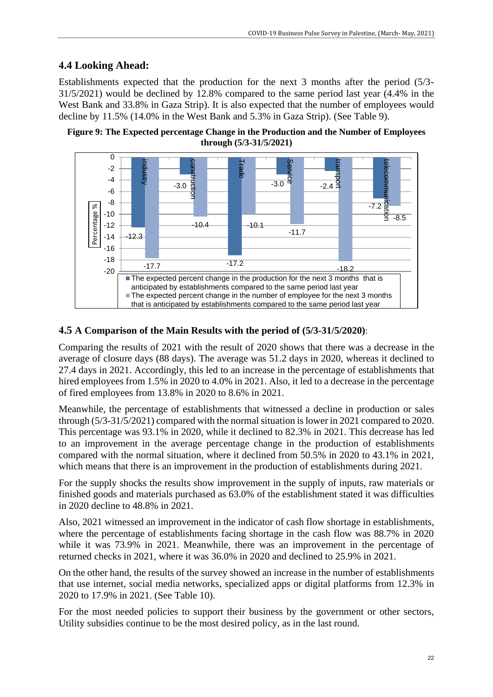### **4.4 Looking Ahead:**

Establishments expected that the production for the next 3 months after the period (5/3- 31/5/2021) would be declined by 12.8% compared to the same period last year (4.4% in the West Bank and 33.8% in Gaza Strip). It is also expected that the number of employees would decline by 11.5% (14.0% in the West Bank and 5.3% in Gaza Strip). (See Table 9).





#### **4.5 A Comparison of the Main Results with the period of (5/3-31/5/2020)**:

Comparing the results of 2021 with the result of 2020 shows that there was a decrease in the average of closure days (88 days). The average was 51.2 days in 2020, whereas it declined to 27.4 days in 2021. Accordingly, this led to an increase in the percentage of establishments that hired employees from 1.5% in 2020 to 4.0% in 2021. Also, it led to a decrease in the percentage of fired employees from 13.8% in 2020 to 8.6% in 2021.

Meanwhile, the percentage of establishments that witnessed a decline in production or sales through (5/3-31/5/2021) compared with the normal situation is lower in 2021 compared to 2020. This percentage was 93.1% in 2020, while it declined to 82.3% in 2021. This decrease has led to an improvement in the average percentage change in the production of establishments compared with the normal situation, where it declined from 50.5% in 2020 to 43.1% in 2021, which means that there is an improvement in the production of establishments during 2021.

For the supply shocks the results show improvement in the supply of inputs, raw materials or finished goods and materials purchased as 63.0% of the establishment stated it was difficulties in 2020 decline to 48.8% in 2021.

Also, 2021 witnessed an improvement in the indicator of cash flow shortage in establishments, where the percentage of establishments facing shortage in the cash flow was 88.7% in 2020 while it was 73.9% in 2021. Meanwhile, there was an improvement in the percentage of returned checks in 2021, where it was 36.0% in 2020 and declined to 25.9% in 2021.

On the other hand, the results of the survey showed an increase in the number of establishments that use internet, social media networks, specialized apps or digital platforms from 12.3% in 2020 to 17.9% in 2021. (See Table 10).

For the most needed policies to support their business by the government or other sectors, Utility subsidies continue to be the most desired policy, as in the last round.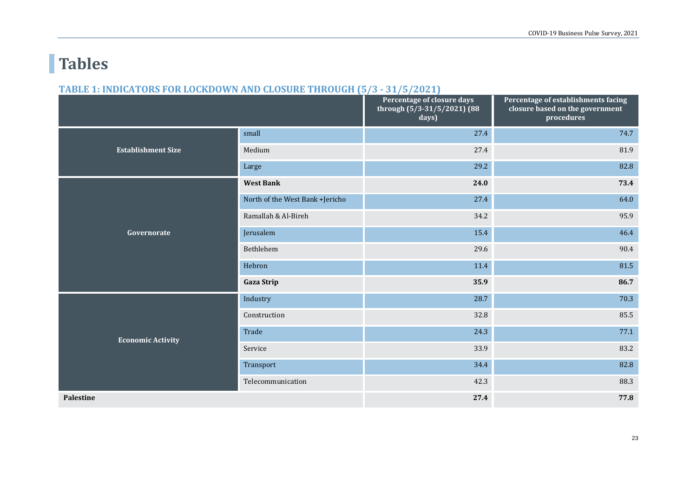# **Tables**

#### **TABLE 1: INDICATORS FOR LOCKDOWN AND CLOSURE THROUGH (5/3 - 31/5/2021)**

|                           |                                 | Percentage of closure days<br>through $(5/3-31/5/2021)$ (88<br>days) | Percentage of establishments facing<br>closure based on the government<br>procedures |
|---------------------------|---------------------------------|----------------------------------------------------------------------|--------------------------------------------------------------------------------------|
|                           | small                           | 27.4                                                                 | 74.7                                                                                 |
| <b>Establishment Size</b> | Medium                          | 27.4                                                                 | 81.9                                                                                 |
|                           | Large                           | 29.2                                                                 | 82.8                                                                                 |
|                           | <b>West Bank</b>                | 24.0                                                                 | 73.4                                                                                 |
|                           | North of the West Bank +Jericho | 27.4                                                                 | 64.0                                                                                 |
|                           | Ramallah & Al-Bireh             | 34.2                                                                 | 95.9                                                                                 |
| Governorate               | Jerusalem                       | 15.4                                                                 | 46.4                                                                                 |
|                           | Bethlehem                       | 29.6                                                                 | 90.4                                                                                 |
|                           | Hebron                          | 11.4                                                                 | 81.5                                                                                 |
|                           | <b>Gaza Strip</b>               | 35.9                                                                 | 86.7                                                                                 |
|                           | Industry                        | 28.7                                                                 | 70.3                                                                                 |
|                           | Construction                    | 32.8                                                                 | 85.5                                                                                 |
| <b>Economic Activity</b>  | Trade                           | 24.3                                                                 | 77.1                                                                                 |
|                           | Service                         | 33.9                                                                 | 83.2                                                                                 |
|                           | Transport                       | 34.4                                                                 | 82.8                                                                                 |
|                           | Telecommunication               | 42.3                                                                 | 88.3                                                                                 |
| <b>Palestine</b>          |                                 | 27.4                                                                 | 77.8                                                                                 |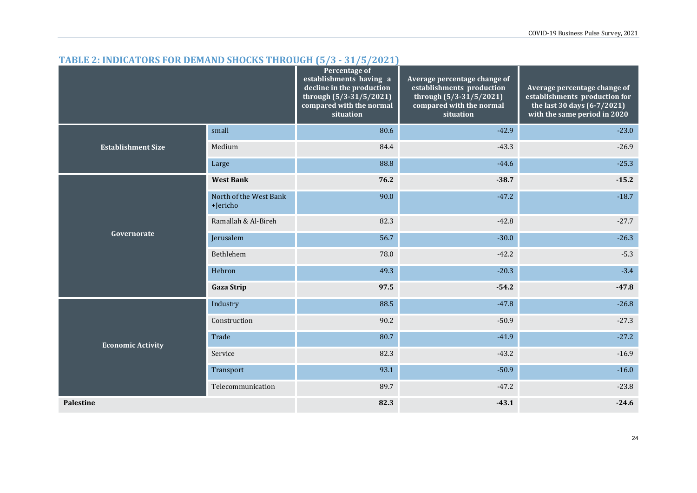|                           |                                    | Percentage of<br>establishments having a<br>decline in the production<br>through (5/3-31/5/2021)<br>compared with the normal<br>situation | Average percentage change of<br>establishments production<br>through (5/3-31/5/2021)<br>compared with the normal<br>situation | Average percentage change of<br>establishments production for<br>the last 30 days (6-7/2021)<br>with the same period in 2020 |
|---------------------------|------------------------------------|-------------------------------------------------------------------------------------------------------------------------------------------|-------------------------------------------------------------------------------------------------------------------------------|------------------------------------------------------------------------------------------------------------------------------|
|                           | small                              | 80.6                                                                                                                                      | $-42.9$                                                                                                                       | $-23.0$                                                                                                                      |
| <b>Establishment Size</b> | Medium                             | 84.4                                                                                                                                      | $-43.3$                                                                                                                       | $-26.9$                                                                                                                      |
|                           | Large                              | 88.8                                                                                                                                      | $-44.6$                                                                                                                       | $-25.3$                                                                                                                      |
|                           | <b>West Bank</b>                   | 76.2                                                                                                                                      | $-38.7$                                                                                                                       | $-15.2$                                                                                                                      |
| Governorate               | North of the West Bank<br>+Jericho | 90.0                                                                                                                                      | $-47.2$                                                                                                                       | $-18.7$                                                                                                                      |
|                           | Ramallah & Al-Bireh                | 82.3                                                                                                                                      | $-42.8$                                                                                                                       | $-27.7$                                                                                                                      |
|                           | Jerusalem                          | 56.7                                                                                                                                      | $-30.0$                                                                                                                       | $-26.3$                                                                                                                      |
|                           | Bethlehem                          | 78.0                                                                                                                                      | $-42.2$                                                                                                                       | $-5.3$                                                                                                                       |
|                           | Hebron                             | 49.3                                                                                                                                      | $-20.3$                                                                                                                       | $-3.4$                                                                                                                       |
|                           | <b>Gaza Strip</b>                  | 97.5                                                                                                                                      | $-54.2$                                                                                                                       | $-47.8$                                                                                                                      |
|                           | Industry                           | 88.5                                                                                                                                      | $-47.8$                                                                                                                       | $-26.8$                                                                                                                      |
|                           | Construction                       | 90.2                                                                                                                                      | $-50.9$                                                                                                                       | $-27.3$                                                                                                                      |
| <b>Economic Activity</b>  | Trade                              | 80.7                                                                                                                                      | $-41.9$                                                                                                                       | $-27.2$                                                                                                                      |
|                           | Service                            | 82.3                                                                                                                                      | $-43.2$                                                                                                                       | $-16.9$                                                                                                                      |
|                           | Transport                          | 93.1                                                                                                                                      | $-50.9$                                                                                                                       | $-16.0$                                                                                                                      |
|                           | Telecommunication                  | 89.7                                                                                                                                      | $-47.2$                                                                                                                       | $-23.8$                                                                                                                      |
| Palestine                 |                                    | 82.3                                                                                                                                      | $-43.1$                                                                                                                       | $-24.6$                                                                                                                      |

#### **TABLE 2: INDICATORS FOR DEMAND SHOCKS THROUGH (5/3 - 31/5/2021)**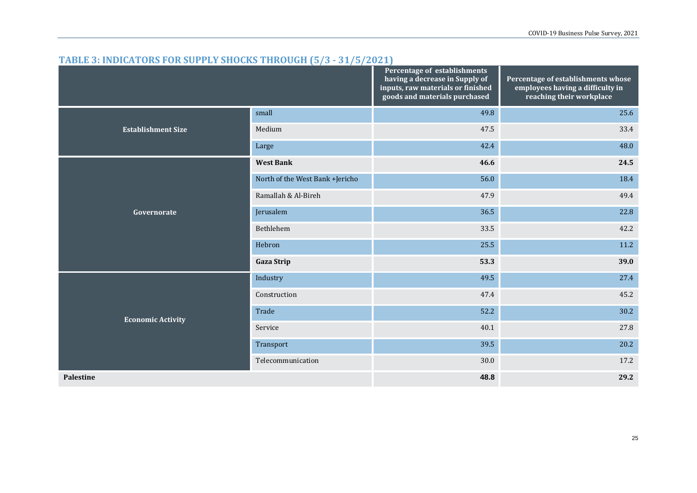| $\frac{1}{100}$ of $\frac{1}{100}$ and $\frac{1}{100}$ of $\frac{1}{100}$ of $\frac{1}{100}$ of $\frac{1}{100}$ of $\frac{1}{100}$ of $\frac{1}{100}$ |                                 | Percentage of establishments<br>having a decrease in Supply of<br>inputs, raw materials or finished<br>goods and materials purchased | Percentage of establishments whose<br>employees having a difficulty in<br>reaching their workplace |
|-------------------------------------------------------------------------------------------------------------------------------------------------------|---------------------------------|--------------------------------------------------------------------------------------------------------------------------------------|----------------------------------------------------------------------------------------------------|
|                                                                                                                                                       | small                           | 49.8                                                                                                                                 | 25.6                                                                                               |
| <b>Establishment Size</b>                                                                                                                             | Medium                          | 47.5                                                                                                                                 | 33.4                                                                                               |
|                                                                                                                                                       | Large                           | 42.4                                                                                                                                 | 48.0                                                                                               |
|                                                                                                                                                       | <b>West Bank</b>                | 46.6                                                                                                                                 | 24.5                                                                                               |
|                                                                                                                                                       | North of the West Bank +Jericho | 56.0                                                                                                                                 | 18.4                                                                                               |
|                                                                                                                                                       | Ramallah & Al-Bireh             | 47.9                                                                                                                                 | 49.4                                                                                               |
| Governorate                                                                                                                                           | Jerusalem                       | 36.5                                                                                                                                 | 22.8                                                                                               |
|                                                                                                                                                       | Bethlehem                       | 33.5                                                                                                                                 | 42.2                                                                                               |
|                                                                                                                                                       | Hebron                          | 25.5                                                                                                                                 | 11.2                                                                                               |
|                                                                                                                                                       | <b>Gaza Strip</b>               | 53.3                                                                                                                                 | 39.0                                                                                               |
|                                                                                                                                                       | Industry                        | 49.5                                                                                                                                 | 27.4                                                                                               |
|                                                                                                                                                       | Construction                    | 47.4                                                                                                                                 | 45.2                                                                                               |
| <b>Economic Activity</b>                                                                                                                              | Trade                           | 52.2                                                                                                                                 | 30.2                                                                                               |
|                                                                                                                                                       | Service                         | 40.1                                                                                                                                 | 27.8                                                                                               |
|                                                                                                                                                       | Transport                       | 39.5                                                                                                                                 | 20.2                                                                                               |
|                                                                                                                                                       | Telecommunication               | 30.0                                                                                                                                 | 17.2                                                                                               |
| <b>Palestine</b>                                                                                                                                      |                                 | 48.8                                                                                                                                 | 29.2                                                                                               |

#### **TABLE 3: INDICATORS FOR SUPPLY SHOCKS THROUGH (5/3 - 31/5/2021)**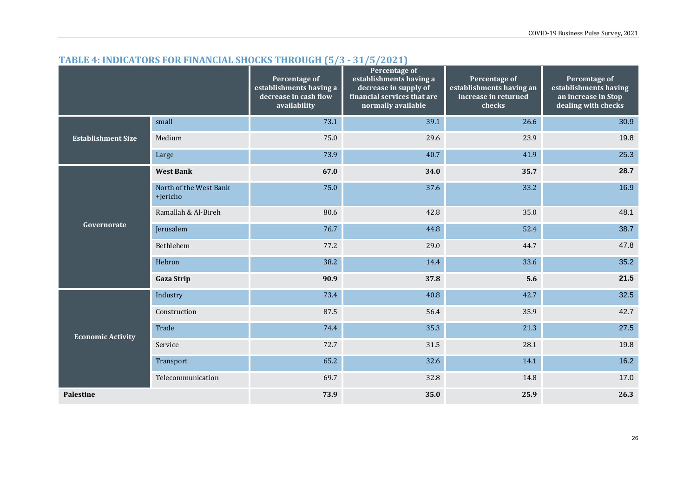### **TABLE 4: INDICATORS FOR FINANCIAL SHOCKS THROUGH (5/3 - 31/5/2021)**

|                           |                                    | Percentage of<br>establishments having a<br>decrease in cash flow<br>availability | <b>Percentage of</b><br>establishments having a<br>decrease in supply of<br>financial services that are<br>normally available | Percentage of<br>establishments having an<br>increase in returned<br>checks | Percentage of<br>establishments having<br>an increase in Stop<br>dealing with checks |
|---------------------------|------------------------------------|-----------------------------------------------------------------------------------|-------------------------------------------------------------------------------------------------------------------------------|-----------------------------------------------------------------------------|--------------------------------------------------------------------------------------|
|                           | small                              | 73.1                                                                              | 39.1                                                                                                                          | 26.6                                                                        | 30.9                                                                                 |
| <b>Establishment Size</b> | Medium                             | 75.0                                                                              | 29.6                                                                                                                          | 23.9                                                                        | 19.8                                                                                 |
|                           | Large                              | 73.9                                                                              | 40.7                                                                                                                          | 41.9                                                                        | 25.3                                                                                 |
|                           | <b>West Bank</b>                   | 67.0                                                                              | 34.0                                                                                                                          | 35.7                                                                        | 28.7                                                                                 |
| Governorate               | North of the West Bank<br>+Jericho | 75.0                                                                              | 37.6                                                                                                                          | 33.2                                                                        | 16.9                                                                                 |
|                           | Ramallah & Al-Bireh                | 80.6                                                                              | 42.8                                                                                                                          | 35.0                                                                        | 48.1                                                                                 |
|                           | Jerusalem                          | 76.7                                                                              | 44.8                                                                                                                          | 52.4                                                                        | 38.7                                                                                 |
|                           | Bethlehem                          | 77.2                                                                              | 29.0                                                                                                                          | 44.7                                                                        | 47.8                                                                                 |
|                           | Hebron                             | 38.2                                                                              | 14.4                                                                                                                          | 33.6                                                                        | 35.2                                                                                 |
|                           | <b>Gaza Strip</b>                  | 90.9                                                                              | 37.8                                                                                                                          | 5.6                                                                         | 21.5                                                                                 |
|                           | Industry                           | 73.4                                                                              | 40.8                                                                                                                          | 42.7                                                                        | 32.5                                                                                 |
|                           | Construction                       | 87.5                                                                              | 56.4                                                                                                                          | 35.9                                                                        | 42.7                                                                                 |
| <b>Economic Activity</b>  | Trade                              | 74.4                                                                              | 35.3                                                                                                                          | 21.3                                                                        | 27.5                                                                                 |
|                           | Service                            | 72.7                                                                              | 31.5                                                                                                                          | 28.1                                                                        | 19.8                                                                                 |
|                           | Transport                          | 65.2                                                                              | 32.6                                                                                                                          | 14.1                                                                        | 16.2                                                                                 |
|                           | Telecommunication                  | 69.7                                                                              | 32.8                                                                                                                          | 14.8                                                                        | 17.0                                                                                 |
| <b>Palestine</b>          |                                    | 73.9                                                                              | 35.0                                                                                                                          | 25.9                                                                        | 26.3                                                                                 |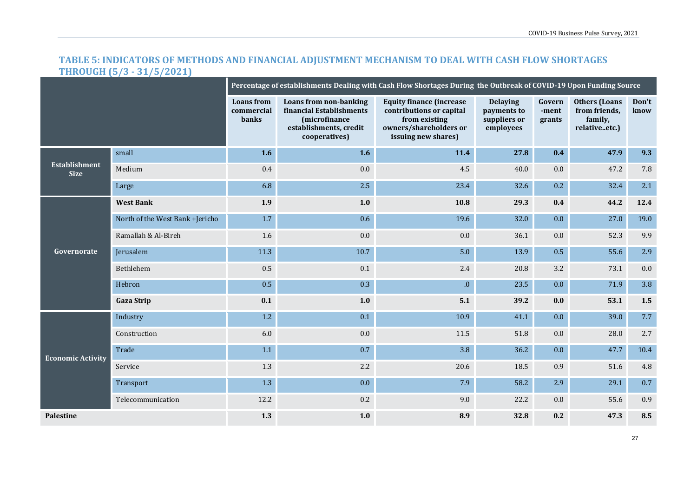#### **TABLE 5: INDICATORS OF METHODS AND FINANCIAL ADJUSTMENT MECHANISM TO DEAL WITH CASH FLOW SHORTAGES THROUGH (5/3 - 31/5/2021)**

|                                     |                                 |                                          |                                                                                                                       | Percentage of establishments Dealing with Cash Flow Shortages During the Outbreak of COVID-19 Upon Funding Source             |                                                             |                           |                                                                   |               |  |  |  |  |  |
|-------------------------------------|---------------------------------|------------------------------------------|-----------------------------------------------------------------------------------------------------------------------|-------------------------------------------------------------------------------------------------------------------------------|-------------------------------------------------------------|---------------------------|-------------------------------------------------------------------|---------------|--|--|--|--|--|
|                                     |                                 | <b>Loans</b> from<br>commercial<br>banks | <b>Loans from non-banking</b><br>financial Establishments<br>(microfinance<br>establishments, credit<br>cooperatives) | <b>Equity finance (increase</b><br>contributions or capital<br>from existing<br>owners/shareholders or<br>issuing new shares) | <b>Delaying</b><br>payments to<br>suppliers or<br>employees | Govern<br>-ment<br>grants | <b>Others (Loans</b><br>from friends,<br>family,<br>relativeetc.) | Don't<br>know |  |  |  |  |  |
|                                     | small                           | 1.6                                      | 1.6                                                                                                                   | 11.4                                                                                                                          | 27.8                                                        | 0.4                       | 47.9                                                              | 9.3           |  |  |  |  |  |
| <b>Establishment</b><br><b>Size</b> | Medium                          | 0.4                                      | $0.0\,$                                                                                                               | 4.5                                                                                                                           | 40.0                                                        | 0.0                       | 47.2                                                              | 7.8           |  |  |  |  |  |
|                                     | Large                           | 6.8                                      | 2.5                                                                                                                   | 23.4                                                                                                                          | 32.6                                                        | 0.2                       | 32.4                                                              | 2.1           |  |  |  |  |  |
|                                     | <b>West Bank</b>                | 1.9                                      | $1.0$                                                                                                                 | $\bf 10.8$                                                                                                                    | 29.3                                                        | 0.4                       | 44.2                                                              | 12.4          |  |  |  |  |  |
| Governorate                         | North of the West Bank +Jericho | 1.7                                      | 0.6                                                                                                                   | 19.6                                                                                                                          | 32.0                                                        | 0.0                       | 27.0                                                              | 19.0          |  |  |  |  |  |
|                                     | Ramallah & Al-Bireh             | 1.6                                      | $0.0\,$                                                                                                               | $0.0\,$                                                                                                                       | 36.1                                                        | 0.0                       | 52.3                                                              | 9.9           |  |  |  |  |  |
|                                     | Jerusalem                       | 11.3                                     | 10.7                                                                                                                  | 5.0                                                                                                                           | 13.9                                                        | $0.5\,$                   | 55.6                                                              | 2.9           |  |  |  |  |  |
|                                     | Bethlehem                       | 0.5                                      | $0.1\,$                                                                                                               | 2.4                                                                                                                           | 20.8                                                        | 3.2                       | 73.1                                                              | $0.0\,$       |  |  |  |  |  |
|                                     | Hebron                          | 0.5                                      | 0.3                                                                                                                   | ${\bf .0}$                                                                                                                    | 23.5                                                        | 0.0                       | 71.9                                                              | 3.8           |  |  |  |  |  |
|                                     | <b>Gaza Strip</b>               | 0.1                                      | 1.0                                                                                                                   | 5.1                                                                                                                           | 39.2                                                        | 0.0                       | 53.1                                                              | 1.5           |  |  |  |  |  |
|                                     | Industry                        | $1.2\,$                                  | 0.1                                                                                                                   | 10.9                                                                                                                          | 41.1                                                        | 0.0                       | 39.0                                                              | 7.7           |  |  |  |  |  |
|                                     | Construction                    | 6.0                                      | 0.0                                                                                                                   | 11.5                                                                                                                          | 51.8                                                        | 0.0                       | 28.0                                                              | 2.7           |  |  |  |  |  |
| <b>Economic Activity</b>            | Trade                           | 1.1                                      | 0.7                                                                                                                   | 3.8                                                                                                                           | 36.2                                                        | 0.0                       | 47.7                                                              | 10.4          |  |  |  |  |  |
|                                     | Service                         | 1.3                                      | $2.2\,$                                                                                                               | 20.6                                                                                                                          | 18.5                                                        | 0.9                       | 51.6                                                              | 4.8           |  |  |  |  |  |
|                                     | Transport                       | 1.3                                      | 0.0                                                                                                                   | 7.9                                                                                                                           | 58.2                                                        | 2.9                       | 29.1                                                              | 0.7           |  |  |  |  |  |
|                                     | Telecommunication               | 12.2                                     | $0.2\,$                                                                                                               | 9.0                                                                                                                           | 22.2                                                        | 0.0                       | 55.6                                                              | 0.9           |  |  |  |  |  |
| Palestine                           |                                 | 1.3                                      | $1.0$                                                                                                                 | 8.9                                                                                                                           | 32.8                                                        | 0.2                       | 47.3                                                              | 8.5           |  |  |  |  |  |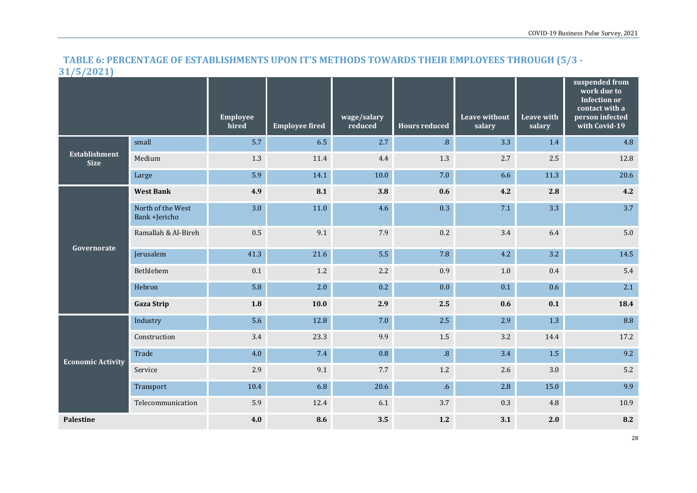## **TABLE 6: PERCENTAGE OF ESTABLISHMENTS UPON IT'S METHODS TOWARDS THEIR EMPLOYEES THROUGH (5/3 - 31/5/2021)**

|                                     |                                    | Employee<br>hired | <b>Employee fired</b> | wage/salary<br>reduced | <b>Hours reduced</b> | <b>Leave without</b><br>salary | <b>Leave with</b><br>salary | suspended from<br>work due to<br><b>Infection or</b><br>contact with a<br>person infected<br>with Covid-19 |
|-------------------------------------|------------------------------------|-------------------|-----------------------|------------------------|----------------------|--------------------------------|-----------------------------|------------------------------------------------------------------------------------------------------------|
|                                     | small                              | 5.7               | 6.5                   | 2.7                    | $\overline{8}$ .     | 3.3                            | 1.4                         | 4.8                                                                                                        |
| <b>Establishment</b><br><b>Size</b> | Medium                             | 1.3               | 11.4                  | 4.4                    | $1.3\,$              | $2.7\,$                        | 2.5                         | 12.8                                                                                                       |
|                                     | Large                              | 5.9               | 14.1                  | 10.0                   | 7.0                  | 6.6                            | 11.3                        | 20.6                                                                                                       |
|                                     | <b>West Bank</b>                   | 4.9               | 8.1                   | 3.8                    | 0.6                  | 4.2                            | 2.8                         | 4.2                                                                                                        |
| Governorate                         | North of the West<br>Bank +Jericho | 3.0               | 11.0                  | 4.6                    | 0.3                  | 7.1                            | 3.3                         | 3.7                                                                                                        |
|                                     | Ramallah & Al-Bireh                | 0.5               | 9.1                   | 7.9                    | 0.2                  | 3.4                            | 6.4                         | 5.0                                                                                                        |
|                                     | Jerusalem                          | 41.3              | 21.6                  | 5.5                    | 7.8                  | 4.2                            | 3.2                         | 14.5                                                                                                       |
|                                     | Bethlehem                          | 0.1               | $1.2\,$               | 2.2                    | 0.9                  | $1.0\,$                        | $0.4\,$                     | 5.4                                                                                                        |
|                                     | Hebron                             | 5.8               | 2.0                   | 0.2                    | 0.0                  | 0.1                            | 0.6                         | 2.1                                                                                                        |
|                                     | <b>Gaza Strip</b>                  | 1.8               | 10.0                  | 2.9                    | 2.5                  | 0.6                            | 0.1                         | 18.4                                                                                                       |
|                                     | Industry                           | 5.6               | 12.8                  | 7.0                    | 2.5                  | 2.9                            | 1.3                         | 8.8                                                                                                        |
|                                     | Construction                       | 3.4               | 23.3                  | 9.9                    | 1.5                  | 3.2                            | 14.4                        | 17.2                                                                                                       |
| <b>Economic Activity</b>            | Trade                              | 4.0               | 7.4                   | 0.8                    | $\overline{8}$ .     | 3.4                            | 1.5                         | 9.2                                                                                                        |
|                                     | Service                            | 2.9               | 9.1                   | 7.7                    | 1.2                  | 2.6                            | 3.0                         | 5.2                                                                                                        |
|                                     | Transport                          | 10.4              | 6.8                   | 20.6                   | 6 <sub>6</sub>       | 2.8                            | 15.0                        | 9.9                                                                                                        |
|                                     | Telecommunication                  | 5.9               | 12.4                  | 6.1                    | 3.7                  | 0.3                            | $4.8\,$                     | 10.9                                                                                                       |
| <b>Palestine</b>                    |                                    | 4.0               | 8.6                   | 3.5                    | 1.2                  | 3.1                            | 2.0                         | 8.2                                                                                                        |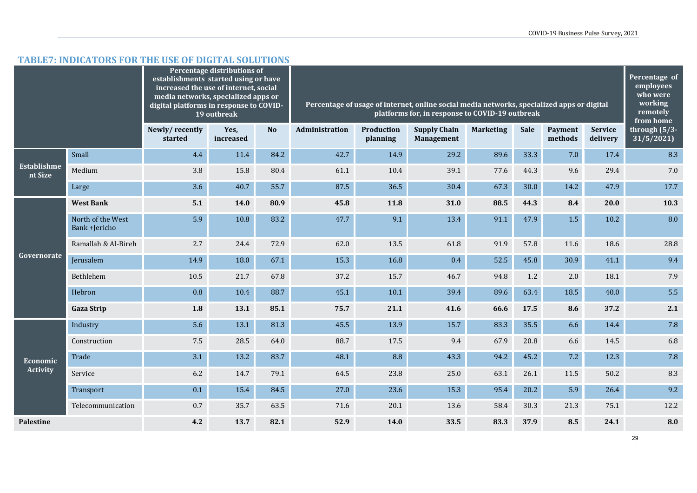#### **TABLE7: INDICATORS FOR THE USE OF DIGITAL SOLUTIONS**

|                               |                                    | establishments started using or have<br>increased the use of internet, social<br>media networks, specialized apps or<br>digital platforms in response to COVID- | Percentage distributions of<br>19 outbreak |      | Percentage of usage of internet, online social media networks, specialized apps or digital<br>platforms for, in response to COVID-19 outbreak |                               |                                          |                  |             |                    |                            | Percentage of<br>employees<br>who were<br>working<br>remotely<br>from home |
|-------------------------------|------------------------------------|-----------------------------------------------------------------------------------------------------------------------------------------------------------------|--------------------------------------------|------|-----------------------------------------------------------------------------------------------------------------------------------------------|-------------------------------|------------------------------------------|------------------|-------------|--------------------|----------------------------|----------------------------------------------------------------------------|
|                               |                                    | Newly/recently<br>started                                                                                                                                       | Yes.<br>increased                          | No   | Administration                                                                                                                                | <b>Production</b><br>planning | <b>Supply Chain</b><br><b>Management</b> | <b>Marketing</b> | <b>Sale</b> | Payment<br>methods | <b>Service</b><br>delivery | through $(5/3-)$<br>31/5/2021                                              |
|                               | Small                              | 4.4                                                                                                                                                             | 11.4                                       | 84.2 | 42.7                                                                                                                                          | 14.9                          | 29.2                                     | 89.6             | 33.3        | 7.0                | 17.4                       | 8.3                                                                        |
| <b>Establishme</b><br>nt Size | Medium                             | 3.8                                                                                                                                                             | 15.8                                       | 80.4 | 61.1                                                                                                                                          | 10.4                          | 39.1                                     | 77.6             | 44.3        | 9.6                | 29.4                       | 7.0                                                                        |
|                               | Large                              | 3.6                                                                                                                                                             | 40.7                                       | 55.7 | 87.5                                                                                                                                          | 36.5                          | 30.4                                     | 67.3             | 30.0        | 14.2               | 47.9                       | 17.7                                                                       |
|                               | <b>West Bank</b>                   | 5.1                                                                                                                                                             | 14.0                                       | 80.9 | 45.8                                                                                                                                          | 11.8                          | 31.0                                     | 88.5             | 44.3        | 8.4                | 20.0                       | 10.3                                                                       |
|                               | North of the West<br>Bank +Jericho | 5.9                                                                                                                                                             | 10.8                                       | 83.2 | 47.7                                                                                                                                          | 9.1                           | 13.4                                     | 91.1             | 47.9        | 1.5                | 10.2                       | 8.0                                                                        |
|                               | Ramallah & Al-Bireh                | 2.7                                                                                                                                                             | 24.4                                       | 72.9 | 62.0                                                                                                                                          | 13.5                          | 61.8                                     | 91.9             | 57.8        | 11.6               | 18.6                       | 28.8                                                                       |
| Governorate                   | Jerusalem                          | 14.9                                                                                                                                                            | 18.0                                       | 67.1 | 15.3                                                                                                                                          | 16.8                          | 0.4                                      | 52.5             | 45.8        | 30.9               | 41.1                       | 9.4                                                                        |
|                               | Bethlehem                          | 10.5                                                                                                                                                            | 21.7                                       | 67.8 | 37.2                                                                                                                                          | 15.7                          | 46.7                                     | 94.8             | 1.2         | 2.0                | 18.1                       | 7.9                                                                        |
|                               | Hebron                             | 0.8                                                                                                                                                             | 10.4                                       | 88.7 | 45.1                                                                                                                                          | 10.1                          | 39.4                                     | 89.6             | 63.4        | 18.5               | 40.0                       | 5.5                                                                        |
|                               | <b>Gaza Strip</b>                  | 1.8                                                                                                                                                             | 13.1                                       | 85.1 | 75.7                                                                                                                                          | 21.1                          | 41.6                                     | 66.6             | 17.5        | 8.6                | 37.2                       | 2.1                                                                        |
|                               | Industry                           | 5.6                                                                                                                                                             | 13.1                                       | 81.3 | 45.5                                                                                                                                          | 13.9                          | 15.7                                     | 83.3             | 35.5        | 6.6                | 14.4                       | 7.8                                                                        |
|                               | Construction                       | 7.5                                                                                                                                                             | 28.5                                       | 64.0 | 88.7                                                                                                                                          | 17.5                          | 9.4                                      | 67.9             | 20.8        | 6.6                | 14.5                       | 6.8                                                                        |
| Economic                      | Trade                              | 3.1                                                                                                                                                             | 13.2                                       | 83.7 | 48.1                                                                                                                                          | 8.8                           | 43.3                                     | 94.2             | 45.2        | 7.2                | 12.3                       | 7.8                                                                        |
| <b>Activity</b>               | Service                            | 6.2                                                                                                                                                             | 14.7                                       | 79.1 | 64.5                                                                                                                                          | 23.8                          | 25.0                                     | 63.1             | 26.1        | 11.5               | 50.2                       | 8.3                                                                        |
|                               | Transport                          | 0.1                                                                                                                                                             | 15.4                                       | 84.5 | 27.0                                                                                                                                          | 23.6                          | 15.3                                     | 95.4             | 20.2        | 5.9                | 26.4                       | 9.2                                                                        |
|                               | Telecommunication                  | 0.7                                                                                                                                                             | 35.7                                       | 63.5 | 71.6                                                                                                                                          | 20.1                          | 13.6                                     | 58.4             | 30.3        | 21.3               | 75.1                       | 12.2                                                                       |
| <b>Palestine</b>              |                                    | 4.2                                                                                                                                                             | 13.7                                       | 82.1 | 52.9                                                                                                                                          | 14.0                          | 33.5                                     | 83.3             | 37.9        | 8.5                | 24.1                       | 8.0                                                                        |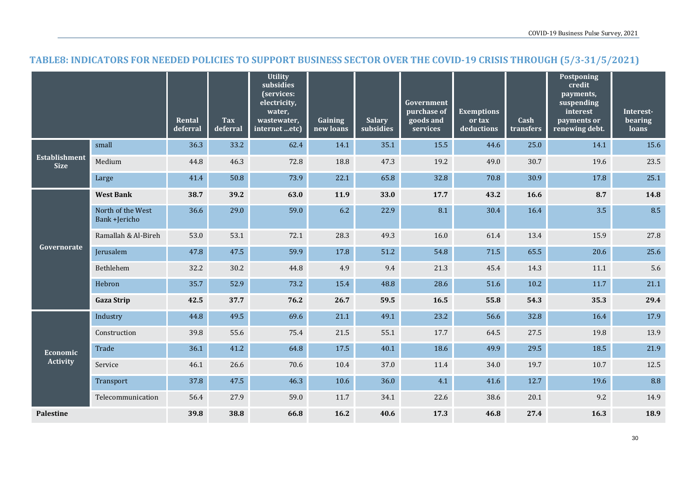#### **TABLE8: INDICATORS FOR NEEDED POLICIES TO SUPPORT BUSINESS SECTOR OVER THE COVID-19 CRISIS THROUGH (5/3-31/5/2021)**

|                                     |                                    | Rental<br>deferral | Tax<br>deferral | <b>Utility</b><br>subsidies<br>(services:<br>electricity,<br>water,<br>wastewater,<br>internet etc) | Gaining<br>new loans | <b>Salary</b><br>subsidies | Government<br>purchase of<br>goods and<br>services | <b>Exemptions</b><br>or tax<br>deductions | Cash<br>transfers | Postponing<br>credit<br>payments,<br>suspending<br>interest<br>payments or<br>renewing debt. | Interest-<br>bearing<br>loans |
|-------------------------------------|------------------------------------|--------------------|-----------------|-----------------------------------------------------------------------------------------------------|----------------------|----------------------------|----------------------------------------------------|-------------------------------------------|-------------------|----------------------------------------------------------------------------------------------|-------------------------------|
|                                     | small                              | 36.3               | 33.2            | 62.4                                                                                                | 14.1                 | 35.1                       | 15.5                                               | 44.6                                      | 25.0              | 14.1                                                                                         | 15.6                          |
| <b>Establishment</b><br><b>Size</b> | Medium                             | 44.8               | 46.3            | 72.8                                                                                                | 18.8                 | 47.3                       | 19.2                                               | 49.0                                      | 30.7              | 19.6                                                                                         | 23.5                          |
|                                     | Large                              | 41.4               | 50.8            | 73.9                                                                                                | 22.1                 | 65.8                       | 32.8                                               | 70.8                                      | 30.9              | 17.8                                                                                         | 25.1                          |
|                                     | <b>West Bank</b>                   | 38.7               | 39.2            | 63.0                                                                                                | 11.9                 | 33.0                       | 17.7                                               | 43.2                                      | 16.6              | 8.7                                                                                          | 14.8                          |
|                                     | North of the West<br>Bank +Jericho | 36.6               | 29.0            | 59.0                                                                                                | 6.2                  | 22.9                       | 8.1                                                | 30.4                                      | 16.4              | 3.5                                                                                          | 8.5                           |
|                                     | Ramallah & Al-Bireh                | 53.0               | 53.1            | 72.1                                                                                                | 28.3                 | 49.3                       | 16.0                                               | 61.4                                      | 13.4              | 15.9                                                                                         | 27.8                          |
| Governorate                         | Jerusalem                          | 47.8               | 47.5            | 59.9                                                                                                | 17.8                 | 51.2                       | 54.8                                               | 71.5                                      | 65.5              | 20.6                                                                                         | 25.6                          |
|                                     | Bethlehem                          | 32.2               | 30.2            | 44.8                                                                                                | 4.9                  | 9.4                        | 21.3                                               | 45.4                                      | 14.3              | 11.1                                                                                         | 5.6                           |
|                                     | Hebron                             | 35.7               | 52.9            | 73.2                                                                                                | 15.4                 | 48.8                       | 28.6                                               | 51.6                                      | 10.2              | 11.7                                                                                         | 21.1                          |
|                                     | <b>Gaza Strip</b>                  | 42.5               | 37.7            | 76.2                                                                                                | 26.7                 | 59.5                       | 16.5                                               | 55.8                                      | 54.3              | 35.3                                                                                         | 29.4                          |
|                                     | Industry                           | 44.8               | 49.5            | 69.6                                                                                                | 21.1                 | 49.1                       | 23.2                                               | 56.6                                      | 32.8              | 16.4                                                                                         | 17.9                          |
|                                     | Construction                       | 39.8               | 55.6            | 75.4                                                                                                | 21.5                 | 55.1                       | 17.7                                               | 64.5                                      | 27.5              | 19.8                                                                                         | 13.9                          |
| Economic                            | Trade                              | 36.1               | 41.2            | 64.8                                                                                                | 17.5                 | 40.1                       | 18.6                                               | 49.9                                      | 29.5              | 18.5                                                                                         | 21.9                          |
| <b>Activity</b>                     | Service                            | 46.1               | 26.6            | 70.6                                                                                                | 10.4                 | 37.0                       | 11.4                                               | 34.0                                      | 19.7              | 10.7                                                                                         | 12.5                          |
|                                     | Transport                          | 37.8               | 47.5            | 46.3                                                                                                | 10.6                 | 36.0                       | 4.1                                                | 41.6                                      | 12.7              | 19.6                                                                                         | 8.8                           |
|                                     | Telecommunication                  | 56.4               | 27.9            | 59.0                                                                                                | 11.7                 | 34.1                       | 22.6                                               | 38.6                                      | 20.1              | 9.2                                                                                          | 14.9                          |
| <b>Palestine</b>                    |                                    | 39.8               | 38.8            | 66.8                                                                                                | 16.2                 | 40.6                       | 17.3                                               | 46.8                                      | 27.4              | 16.3                                                                                         | 18.9                          |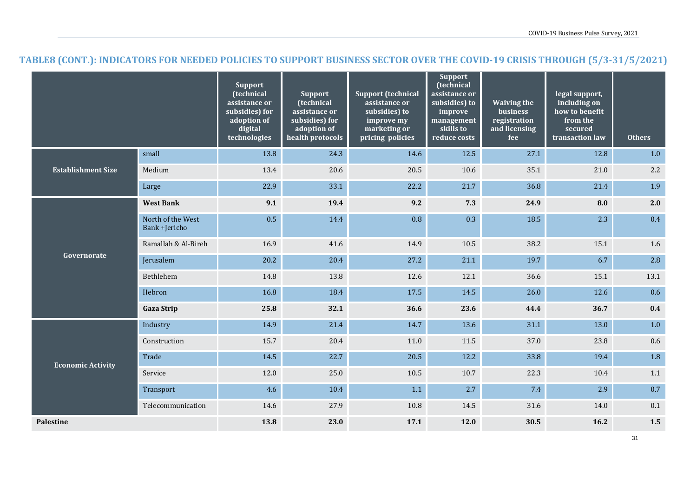### **TABLE8 (CONT.): INDICATORS FOR NEEDED POLICIES TO SUPPORT BUSINESS SECTOR OVER THE COVID-19 CRISIS THROUGH (5/3-31/5/2021)**

|                           |                                    | <b>Support</b><br>(technical<br>assistance or<br>subsidies) for<br>adoption of<br>digital<br>technologies | <b>Support</b><br>(technical<br>assistance or<br>subsidies) for<br>adoption of<br>health protocols | <b>Support (technical</b><br>assistance or<br>subsidies) to<br>improve my<br>marketing or<br>pricing policies | <b>Support</b><br>(technical<br>assistance or<br>subsidies) to<br>improve<br>management<br>skills to<br>reduce costs | <b>Waiving the</b><br>business<br>registration<br>and licensing<br>fee | legal support,<br>including on<br>how to benefit<br>from the<br>secured<br>transaction law | <b>Others</b> |
|---------------------------|------------------------------------|-----------------------------------------------------------------------------------------------------------|----------------------------------------------------------------------------------------------------|---------------------------------------------------------------------------------------------------------------|----------------------------------------------------------------------------------------------------------------------|------------------------------------------------------------------------|--------------------------------------------------------------------------------------------|---------------|
| <b>Establishment Size</b> | small                              | 13.8                                                                                                      | 24.3                                                                                               | 14.6                                                                                                          | 12.5                                                                                                                 | 27.1                                                                   | 12.8                                                                                       | $1.0$         |
|                           | Medium                             | 13.4                                                                                                      | 20.6                                                                                               | 20.5                                                                                                          | 10.6                                                                                                                 | 35.1                                                                   | 21.0                                                                                       | $2.2\,$       |
|                           | Large                              | 22.9                                                                                                      | 33.1                                                                                               | 22.2                                                                                                          | 21.7                                                                                                                 | 36.8                                                                   | 21.4                                                                                       | 1.9           |
| Governorate               | <b>West Bank</b>                   | 9.1                                                                                                       | 19.4                                                                                               | 9.2                                                                                                           | 7.3                                                                                                                  | 24.9                                                                   | 8.0                                                                                        | 2.0           |
|                           | North of the West<br>Bank +Jericho | 0.5                                                                                                       | 14.4                                                                                               | 0.8                                                                                                           | 0.3                                                                                                                  | 18.5                                                                   | 2.3                                                                                        | 0.4           |
|                           | Ramallah & Al-Bireh                | 16.9                                                                                                      | 41.6                                                                                               | 14.9                                                                                                          | 10.5                                                                                                                 | 38.2                                                                   | 15.1                                                                                       | 1.6           |
|                           | Jerusalem                          | 20.2                                                                                                      | 20.4                                                                                               | 27.2                                                                                                          | 21.1                                                                                                                 | 19.7                                                                   | 6.7                                                                                        | 2.8           |
|                           | Bethlehem                          | 14.8                                                                                                      | 13.8                                                                                               | 12.6                                                                                                          | 12.1                                                                                                                 | 36.6                                                                   | 15.1                                                                                       | 13.1          |
|                           | Hebron                             | 16.8                                                                                                      | 18.4                                                                                               | 17.5                                                                                                          | 14.5                                                                                                                 | 26.0                                                                   | 12.6                                                                                       | 0.6           |
|                           | <b>Gaza Strip</b>                  | 25.8                                                                                                      | 32.1                                                                                               | 36.6                                                                                                          | 23.6                                                                                                                 | 44.4                                                                   | 36.7                                                                                       | 0.4           |
| <b>Economic Activity</b>  | Industry                           | 14.9                                                                                                      | 21.4                                                                                               | 14.7                                                                                                          | 13.6                                                                                                                 | 31.1                                                                   | 13.0                                                                                       | $1.0$         |
|                           | Construction                       | 15.7                                                                                                      | 20.4                                                                                               | 11.0                                                                                                          | 11.5                                                                                                                 | 37.0                                                                   | 23.8                                                                                       | 0.6           |
|                           | Trade                              | 14.5                                                                                                      | 22.7                                                                                               | 20.5                                                                                                          | 12.2                                                                                                                 | 33.8                                                                   | 19.4                                                                                       | 1.8           |
|                           | Service                            | 12.0                                                                                                      | 25.0                                                                                               | 10.5                                                                                                          | 10.7                                                                                                                 | 22.3                                                                   | 10.4                                                                                       | 1.1           |
|                           | Transport                          | 4.6                                                                                                       | 10.4                                                                                               | 1.1                                                                                                           | 2.7                                                                                                                  | 7.4                                                                    | 2.9                                                                                        | 0.7           |
|                           | Telecommunication                  | 14.6                                                                                                      | 27.9                                                                                               | 10.8                                                                                                          | 14.5                                                                                                                 | 31.6                                                                   | 14.0                                                                                       | 0.1           |
| Palestine                 |                                    | 13.8                                                                                                      | 23.0                                                                                               | 17.1                                                                                                          | 12.0                                                                                                                 | 30.5                                                                   | 16.2                                                                                       | 1.5           |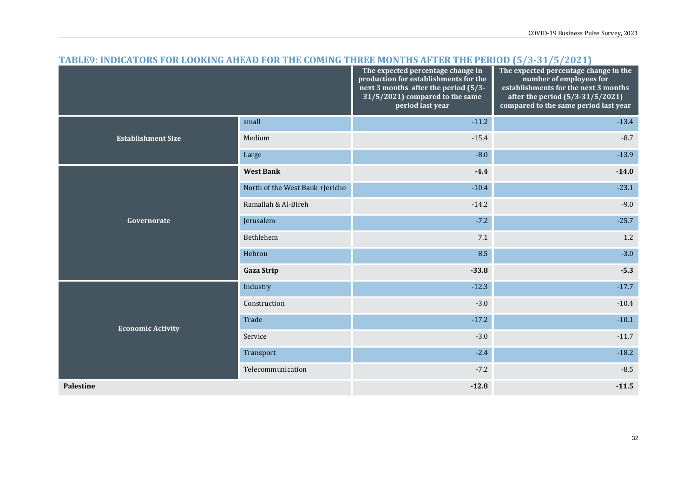| <u>TADLEY, INDICATURS FUR LUURING AHEAD FUR THE CUPING THREE MUNTHS AFTER THE FERIUD (3/3-31/3/2021)</u> |                                 | The expected percentage change in<br>production for establishments for the<br>next 3 months after the period (5/3-<br>31/5/2021) compared to the same<br>period last year | The expected percentage change in the<br>number of employees for<br>establishments for the next 3 months<br>after the period (5/3-31/5/2021)<br>compared to the same period last year |  |
|----------------------------------------------------------------------------------------------------------|---------------------------------|---------------------------------------------------------------------------------------------------------------------------------------------------------------------------|---------------------------------------------------------------------------------------------------------------------------------------------------------------------------------------|--|
|                                                                                                          | small                           | $-11.2$                                                                                                                                                                   | $-13.4$                                                                                                                                                                               |  |
| <b>Establishment Size</b>                                                                                | Medium                          | $-15.4$                                                                                                                                                                   | $-8.7$                                                                                                                                                                                |  |
|                                                                                                          | Large                           | $-8.0$                                                                                                                                                                    | $-13.9$                                                                                                                                                                               |  |
|                                                                                                          | <b>West Bank</b>                | $-4.4$                                                                                                                                                                    | $-14.0$                                                                                                                                                                               |  |
|                                                                                                          | North of the West Bank +Jericho | $-10.4$                                                                                                                                                                   | $-23.1$                                                                                                                                                                               |  |
|                                                                                                          | Ramallah & Al-Bireh             | $-14.2$                                                                                                                                                                   | $-9.0$                                                                                                                                                                                |  |
| Governorate                                                                                              | Jerusalem                       | $-7.2$                                                                                                                                                                    | $-25.7$                                                                                                                                                                               |  |
|                                                                                                          | Bethlehem                       | 7.1                                                                                                                                                                       | 1.2                                                                                                                                                                                   |  |
|                                                                                                          | Hebron                          | 8.5                                                                                                                                                                       | $-3.0$                                                                                                                                                                                |  |
|                                                                                                          | <b>Gaza Strip</b>               | $-33.8$                                                                                                                                                                   | $-5.3$                                                                                                                                                                                |  |
|                                                                                                          | Industry                        | $-12.3$                                                                                                                                                                   | $-17.7$                                                                                                                                                                               |  |
|                                                                                                          | Construction                    | $-3.0$                                                                                                                                                                    | $-10.4$                                                                                                                                                                               |  |
| <b>Economic Activity</b>                                                                                 | Trade                           | $-17.2$                                                                                                                                                                   | $-10.1$                                                                                                                                                                               |  |
|                                                                                                          | Service                         | $-3.0$                                                                                                                                                                    | $-11.7$                                                                                                                                                                               |  |
|                                                                                                          | Transport                       | $-2.4$                                                                                                                                                                    | $-18.2$                                                                                                                                                                               |  |
|                                                                                                          | Telecommunication               | $-7.2$                                                                                                                                                                    | $-8.5$                                                                                                                                                                                |  |
| <b>Palestine</b>                                                                                         |                                 | $-12.8$                                                                                                                                                                   | $-11.5$                                                                                                                                                                               |  |

#### **TABLE9: INDICATORS FOR LOOKING AHEAD FOR THE COMING THREE MONTHS AFTER THE PERIOD (5/3-31/5/2021)**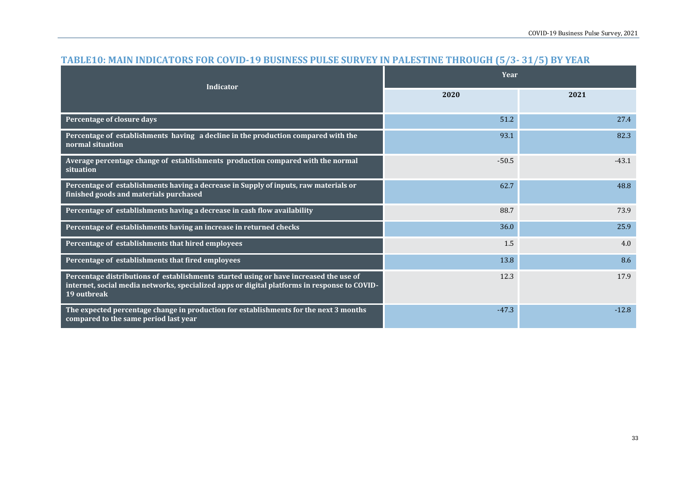| <b>Indicator</b>                                                                                                                                                                                     | Year    |         |  |  |
|------------------------------------------------------------------------------------------------------------------------------------------------------------------------------------------------------|---------|---------|--|--|
|                                                                                                                                                                                                      | 2020    | 2021    |  |  |
| Percentage of closure days                                                                                                                                                                           | 51.2    | 27.4    |  |  |
| Percentage of establishments having a decline in the production compared with the<br>normal situation                                                                                                | 93.1    | 82.3    |  |  |
| Average percentage change of establishments production compared with the normal<br>situation                                                                                                         | $-50.5$ | $-43.1$ |  |  |
| Percentage of establishments having a decrease in Supply of inputs, raw materials or<br>finished goods and materials purchased                                                                       | 62.7    | 48.8    |  |  |
| Percentage of establishments having a decrease in cash flow availability                                                                                                                             | 88.7    | 73.9    |  |  |
| Percentage of establishments having an increase in returned checks                                                                                                                                   | 36.0    | 25.9    |  |  |
| Percentage of establishments that hired employees                                                                                                                                                    | 1.5     | 4.0     |  |  |
| Percentage of establishments that fired employees                                                                                                                                                    | 13.8    | 8.6     |  |  |
| Percentage distributions of establishments started using or have increased the use of<br>internet, social media networks, specialized apps or digital platforms in response to COVID-<br>19 outbreak | 12.3    | 17.9    |  |  |
| The expected percentage change in production for establishments for the next 3 months<br>compared to the same period last year                                                                       | $-47.3$ | $-12.8$ |  |  |

#### **TABLE10: MAIN INDICATORS FOR COVID-19 BUSINESS PULSE SURVEY IN PALESTINE THROUGH (5/3- 31/5) BY YEAR**